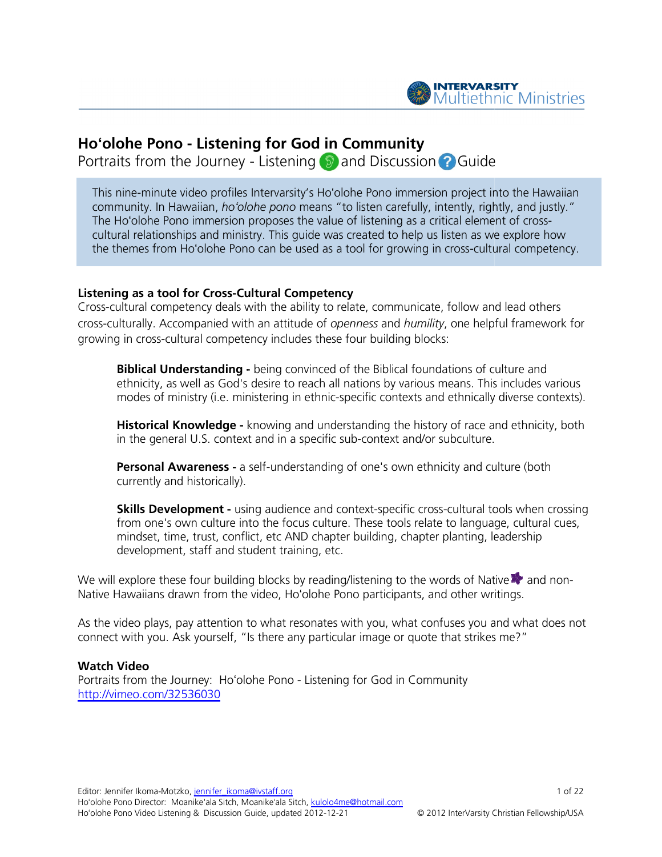

# Hoʻolohe Pono - Listening for God in Community

Portraits from the Journey - Listening <sup>9</sup> and Discussion ? Guide

This nine-minute video profiles Intervarsity's Ho'olohe Pono immersion project into the Hawaiian community. In Hawaiian, ho'olohe pono means "to listen carefully, intently, rightly, and justly." The Hoʻolohe Pono immersion proposes the value of listening as a critical element of cross cultural relationships and ministry. This guide was created to help us listen as we explore how cultural relationships and ministry. This guide was created to help us listen as we explore how<br>the themes from Hoʻolohe Pono can be used as a tool for growing in cross-cultural competency. n project into the Hawaiian<br>itently, rightly, and justly."<br>tical element of cross-

# Listening as a tool for Cross-Cultural Competency Cultural

Cross-cultural competency deals with the ability to relate, communicate, follow and lead others Cross-cultural competency deals with the ability to relate, communicate, follow and lead others<br>
cross-culturally. Accompanied with an attitude of *openness* and *humility*, one helpful framework for<br>
growing in cross-cult growing in cross-cultural competency includes these four building blocks:

**Biblical Understanding -** being convinced of the Biblical foundations of culture and ethnicity, as well as God's desire to reach all nations by various means. This includes various modes of ministry (i.e. ministering in ethnic-specific contexts and ethnically diverse contexts)

**Historical Knowledge -** knowing and understanding the history of race and ethnicity, both **Historical Knowledge -** knowing and understanding the history of race ar<br>in the general U.S. context and in a specific sub-context and/or subculture.

**Personal Awareness -** a self-understanding of one's own ethnicity and culture (both currently and historically). in the general U.S. context and in a specific sub-context and/or subculture.<br>**Personal Awareness -** a self-understanding of one's own ethnicity and culture (both<br>currently and historically).<br>**Skills Development -** using au

from one's own culture into the focus culture. These tools relate to language, cultural cues, mindset, time, trust, conflict, etc AND chapter building, chapter planting, leadership development, staff and student training, etc. from one's own culture into the focus culture. These tools relate to language, cultural cues<br>mindset, time, trust, conflict, etc AND chapter building, chapter planting, leadership<br>development, staff and student training, e

Native Hawaiians drawn from the video, Ho'olohe Pono participants, and other writings.

Native Hawaiians drawn from the video, Ho'olohe Pono participants, and other writings.<br>As the video plays, pay attention to what resonates with you, what confuses you and what does not connect with you. Ask yourself, "Is there any particular image or quote that strikes me?"

#### Watch Video

connect with you. Ask yourself, "Is there any particular image or quote that st<br>**Watch Video**<br>Portraits from the Journey: Hoʻolohe Pono - Listening for God in Community http://vimeo.com/32536030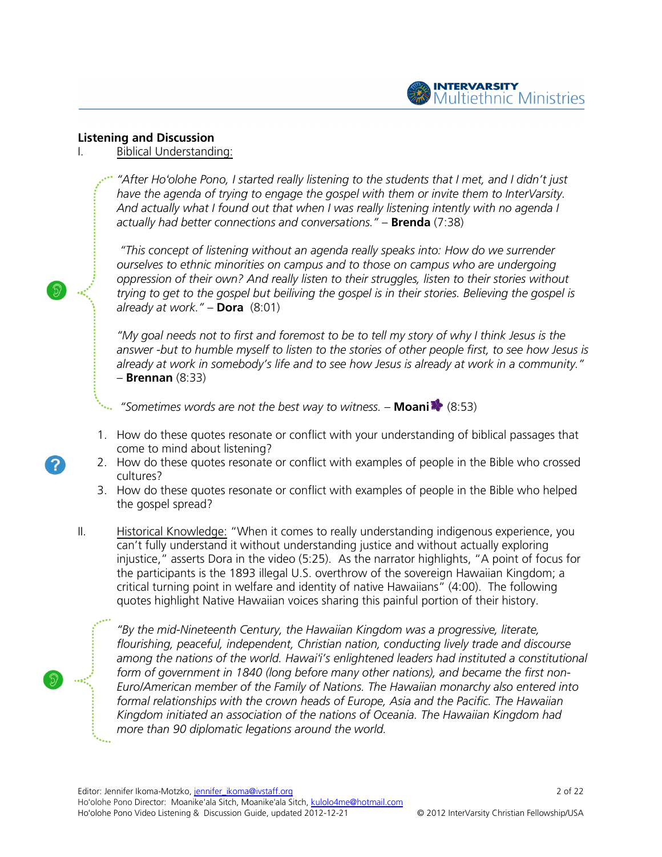

### Listening and Discussion

#### I. Biblical Understanding:

"After Ho'olohe Pono, I started really listening to the students that I met, and I didn't just have the agenda of trying to engage the gospel with them or invite them to InterVarsity. "After Ho'olohe Pono, I started really listening to the students that I met, and I didn't jus<br>have the agenda of trying to engage the gospel with them or invite them to InterVarsity<br>And actually what I found out that when actually had better connections and conversations." – **Brenda** (7:38)

"This concept of listening without an agenda really speaks into: How do we surrender ourselves to ethnic minorities on campus and to those on campus who are undergoing ourselves to ethnic minorities on campus and to those on campus who are undergoing<br>oppression of their own? And really listen to their struggles, listen to their stories without oppression of their own? And really listen to their struggles, listen to their stories without<br>trying to get to the gospel but beiliving the gospel is in their stories. Believing the gospel is already at work." – **Dora** (8:01)

"My goal needs not to first and foremost to be to tell my story of why I think Jesus is the "My goal needs not to first and foremost to be to tell my story of why I think Jesus is the<br>answer -but to humble myself to listen to the stories of other people first, to see how Jesus is already at work in somebody's life and to see how Jesus is already at work in a community."  $-$  Brennan  $(8:33)$ 

"Sometimes words are not the best way to witness.  $-$  **Moani**  $\blacktriangleright$  (8:53)

- 1. How do these quotes resonate or conflict with your understanding of biblical passages that come to mind about listening?
- 2. How do these quotes resonate or conflict with examples of people in the Bible who crossed cultures?
- 3. How do these quotes resonate or conflict with examples of people in the Bible who helped the gospel spread?
- II. Historical Knowledge: "When it comes to really understanding indigenous experience, you can't fully understand it without understanding justice and without actually exploring injustice," asserts Dora in the video (5:25). As the narrator highlights, "A point of focus for the participants is the 1893 illegal U.S. overthrow of the sovereign Hawaiian critical turning point in welfare and identity of native Hawaiians" (4:00). The following critical turning point in welfare and identity of native Hawaiians" (4:00). The follow<br>quotes highlight Native Hawaiian voices sharing this painful portion of their history. in the Bible who helpe<br>indigenous experience, yo<br>nout actually exploring<br>nlights, "A point of focus t<br>ign Hawaiian Kingdom; a

"By the mid-Nineteenth Century, the Hawaiian Kingdom was a progressive, literate, flourishing, peaceful, independent, Christian nation, conducting lively trade and discourse flourishing, peaceful, independent, Christian nation, conducting lively trade and discourse<br>among the nations of the world. Hawaiʻi's enlightened leaders had instituted a constitutional among the nations of the world. Hawai'i's enlightened leaders had instituted a constitutic<br>form of government in 1840 (long before many other nations), and became the first non-Euro/American member of the Family of Nations. The The Hawaiian monarchy also entered into Euro/American member of the Family of Nations. The Hawaiian monarchy also entered in<br>formal relationships with the crown heads of Europe, Asia and the Pacific. The Hawaiian formal relationships with the crown heads of Europe, Asia and the Pacific. The Hawaiian<br>Kingdom initiated an association of the nations of Oceania. The Hawaiian Kingdom had more than 90 diplomatic legations around the world. world.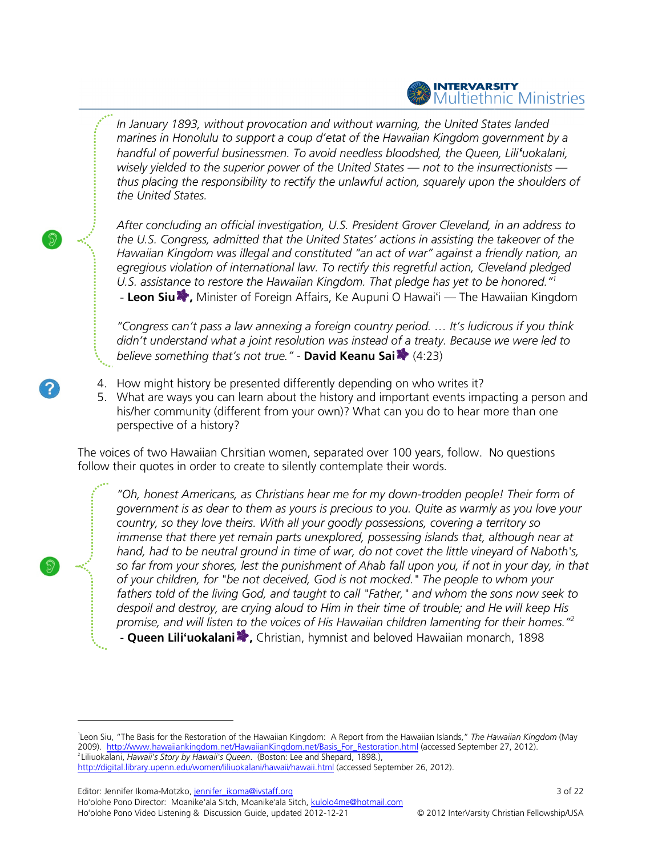# INTERVARSITY<br>Multiethnic Ministries

In January 1893, without provocation and without warning, the United States landed In January 1893, without provocation and without warning, the United States landed<br>marines in Honolulu to support a coup d'etat of the Hawaiian Kingdom government by a marines in Honolulu to support a coup d'etat of the Hawaiian Kingdom government by a<br>handful of powerful businessmen. To avoid needless bloodshed, the Queen, Lili**'**uokalani, wisely yielded to the superior power of the United States — not to the insurrectionists thus placing the responsibility to rectify the unlawful action, squarely upon the shoulders of the United States.

After concluding an official investigation, U.S. President Grover Cleveland, in an address to the U.S. Congress, admitted that the United States' actions in assisting the takeover of the Hawaiian Kingdom was illegal and constituted "an act of war" against a friendly nation, an egregious violation of international law. To rectify this regretful action, Cleveland pledged U.S. assistance to restore the Hawaiian Kingdom. That pledge has yet to be honored."<sup>1</sup> - Leon Siu , Minister of Foreign Affairs, Ke Aupuni O Hawaiʻi — The Hawaiian Kingdom After concluding an official investigation, U.S. President Grover Cleveland, in an address to<br>the U.S. Congress, admitted that the United States' actions in assisting the takeover of the<br>Hawaiian Kingdom was illegal and co

"Congress can't pass a law annexing a foreign country period. … It's ludicrous if you think "Congress can't pass a law annexing a foreign country period. ... It's ludicrous if you think<br>didn't understand what a joint resolution was instead of a treaty. Because we were led to believe something that's not true." - **David Keanu Sai \*** (4:23)

- 4. How might history be presented differently depending on who writes it?
- 5. What are ways you can learn about the history and important events impacting a person and What are ways you can learn about the history and important events impacting a person<br>his/her community (different from your own)? What can you do to hear more than one perspective of a history?

The voices of two Hawaiian Chrsitian women, separated over 100 years, follow. No questions follow their quotes in order to create to silently contemplate their words.

"Oh, honest Americans, as Christians hear me for my down-trodden people! Their form of government is as dear to them as yours is precious to you. Quite as warmly as you love your country, so they love theirs. With all your goodly possessions, covering a territory so government is as dear to them as yours is precious to you. Quite as warmly as you love your<br>country, so they love theirs. With all your goodly possessions, covering a territory so<br>immense that there yet remain parts unexpl hand, had to be neutral ground in time of war, do not covet the little vineyard of Naboth's, hand, had to be neutral ground in time of war, do not covet the little vineyard of Naboth's,<br>so far from your shores, lest the punishment of Ahab fall upon you, if not in your day, in that of your children, for "be not deceived, God is not mocked." The people to whom your fathers told of the living God, and taught to call "Father," and whom the sons now seek to despoil and destroy, are crying aloud to Him in their time of trouble; and He will keep His promise, and will listen to the voices of His Hawaiian children lamenting for their homes." $^{2}$ of your children, for "be not deceived, God is not mocked." The people to whom your<br>fathers told of the living God, and taught to call "Father," and whom the sons now seek t<br>despoil and destroy, are crying aloud to Him in trodden people! Their form<br>)uite as warmly as you love y<br>s, covering a territory so in your day, in that<br>whom your<br>sons now seek to<br>He will keep His<br>or their homes."<sup>2</sup>

- Queen Lili'uokalani<sup>2</sup>, Christian, hymnist and beloved Hawaiian monarch, 1898

Editor: Jennifer Ikoma-Motzko, jennifer\_ikoma@ivstaff.org

Ho'olohe Pono Director: Moanike'ala Sitch, Moanike'ala Sitch, kulolo4me@hotmail.com Ho'olohe Pono Video Listening & Discussion Guide, updated 2012-12-21

<sup>&</sup>lt;sup>1</sup>Leon Siu, "The Basis for the Restoration of the Hawaiian Kingdom: A Report from the Hawaiian Islands," The Hawaiian Kingdom (May 2009). http://www.hawaiiankingdom.net/HawaiianKingdom.net/Basis\_For\_Restoration.html (accessed September 27, 2012). <sup>2</sup> Liliuokalani, *Hawaii's Story by Hawaii's Queen*. (Boston: Lee and Shepard, 1898.),

http://digital.library.upenn.edu/women/liliuokalani/hawaii/hawaii.html http://digital.library.upenn.edu/women/liliuokalani/hawaii/hawaii.html (accessed September 26, 2012).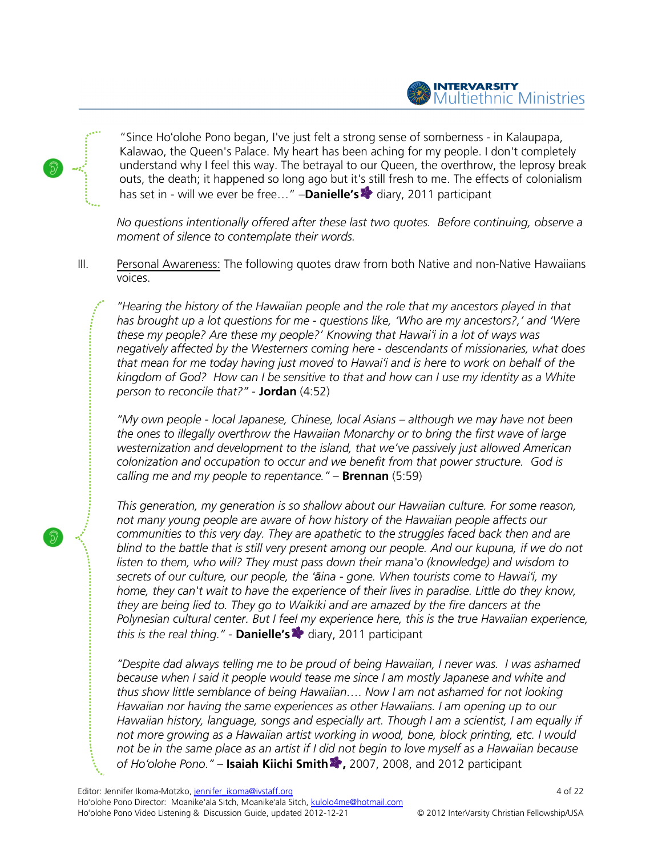

"Since Ho'olohe Pono began, I've just felt a strong sense of somberness - in Kalaupapa, Kalawao, the Queen's Palace. My heart has been aching for my people. I don't completely understand why I feel this way. The betrayal to our Queen, the overthrow, the leprosy break Kalawao, the Queen's Palace. My heart has been aching for my people. I don't completely<br>understand why I feel this way. The betrayal to our Queen, the overthrow, the leprosy break<br>outs, the death; it happened so long ago b has set in - will we ever be free..." -Danielle's **\*** diary, 2011 participant

No questions intentionally offered after these last two quotes. Before continuing, observe a moment of silence to contemplate their words.

III. Personal Awareness: The following quotes draw from both Native and non-Native Hawaiians voices.

"Hearing the history of the Hawaiian people and the role that my ancestors played in that "Hearing the history of the Hawaiian people and the role that my ancestors played in that<br>has brought up a lot questions for me - questions like, 'Who are my ancestors?,' and 'Were these my people? Are these my people?' Knowing that Hawai'i in a lot of ways was these my people? Are these my people?' Knowing that Hawai'i in a lot of ways was<br>negatively affected by the Westerners coming here - descendants of missionaries, what does that mean for me today having just moved to Hawai'i and is here to work on behalf of the kingdom of God? How can I be sensitive to that and how can I use my identity as a White person to reconcile that?" - **Jordan** (4:52)

"My own people - local Japanese, Chinese, local Asians – although we may have not been the ones to illegally overthrow the Hawaiian Monarchy or to bring the first wave of large westernization and development to the island, that we've passively just allowed American colonization and occupation to occur and we benefit from that power structure. God is calling me and my people to repentance." – **Brennan** (5:59) l development to the island, that we've pa.<br>ccupation to occur and we benefit from th<br>people to repentance." – **Brennan** (5:59) and is here to work on behalf of the<br>how can I use my identity as a White<br>s – although we may have not been<br>y or to bring the first wave of large<br>e've passively just allowed American<br>from that power structure. God is<br>(5:59

This generation, my generation is so shallow about our Hawaiian culture. For some reason, not many young people are aware of how history of the Hawaiian people affects our communities to this very day. They are apathetic to the struggles faced back then and are blind to the battle that is still very present among our people. And our kupuna, if we do not listen to them, who will? They must pass down their mana'o (knowledge) and wisdom to blind to the battle that is still very present among our people. And our kupuna, if we dc<br>listen to them, who will? They must pass down their mana'o (knowledge) and wisdom i<br>secrets of our culture, our people, the '**ā**ina home, they can't wait to have the experience of their lives in paradise. Little do they know, they are being lied to. They go to Waikiki and are amazed by the fire dancers at the they are being lied to. They go to Waikiki and are amazed by the fire dancers at the<br>Polynesian cultural center. But I feel my experience here, this is the true Hawaiian experience, this is the real thing." - **Danielle's**  $\blacktriangleright$  diary, 2011 participant

"Despite dad always telling me to be proud of being Hawaiian, I never was. I was ashamed because when I said it people would tease me since I am mostly Japanese and white and because when I said it people would tease me since I am mostly Japanese and white and<br>thus show little semblance of being Hawaiian…. Now I am not ashamed for not looking Hawaiian nor having the same experiences as other Hawaiians. I am opening up to our Hawaiian history, language, songs and especially art. Though I am a scientist, I am equally if Hawaiian history, language, songs and especially art. Though I am a scientist, I am equally i:<br>not more growing as a Hawaiian artist working in wood, bone, block printing, etc. I would "Despite dad always telling me to be proud of being Hawaiian, I never was. I was ashamed<br>because when I said it people would tease me since I am mostly Japanese and white and<br>thus show little semblance of being Hawaiian... of Ho'olohe Pono." - Isaiah Kiichi Smith <sup>1</sup>, 2007, 2008, and 2012 participant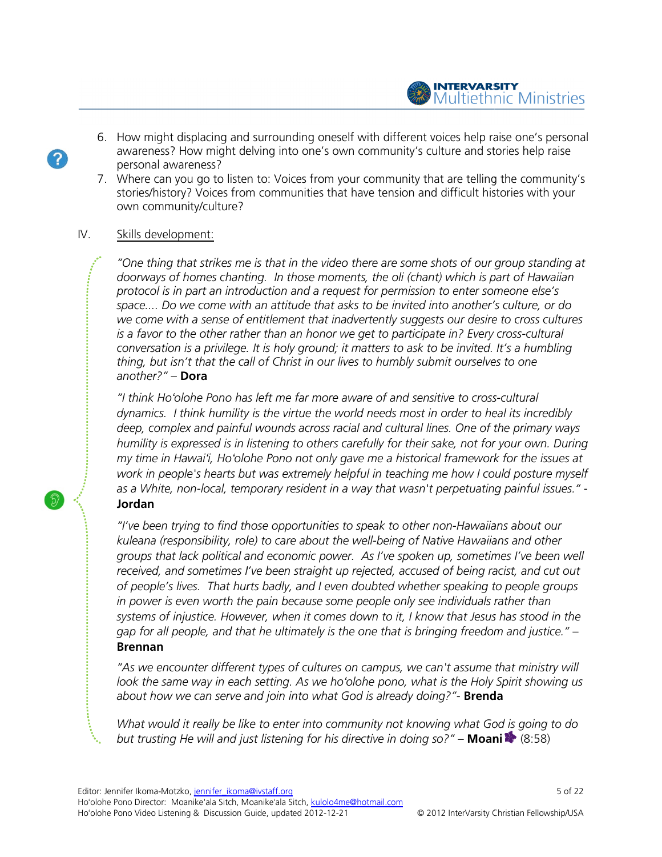- INTERVARSITY<br>Multiethnic Ministries
- 6. How might displacing and surrounding oneself with different voices help raise one's personal How might displacing and surrounding oneself with different voices help raise one's perso<br>awareness? How might delving into one's own community's culture and stories help raise personal awareness? awareness? How might delving into one's own community's culture and stories help raise<br>personal awareness?<br>7. Where can you go to listen to: Voices from your community that are telling the community's
- stories/history? Voices from communities from communities that have tension and difficult histories histories with your own community/culture?

# IV. Skills development:

"One thing that strikes me is that in the video there are some shots of our group standing at "One thing that strikes me is that in the video there are some shots of our group standing a<br>doorways of homes chanting. In those moments, the oli (chant) which is part of Hawaiian protocol is in part an introduction and a request for permission to enter someone else's space.... Do we come with an attitude that asks to be invited into another's culture, or do we come with a sense of entitlement that inadvertently suggests our desire to cross cultures is a favor to the other rather than an honor we get to participate in? Every cross-cultural conversation is a privilege. It is holy ground; it matters to ask to be invited. It's a humbling thing, but isn't that the call of Christ in our lives to humbly submit ourselves to one<br>another?" – **Dora**<br>"I think Ho'olohe Pono has left me far more aware of and sensitive to cross-cultural another?" - Dora (chant) which is part of Hawaiia<br>ission to enter someone else's<br>ited into another's culture, or de<br>uggests our desire to cross cultu<br>ticipate in? Every cross-cultural

"I think Hoʻolohe Pono has left me far more aware of and sensitive to cross dynamics. I think humility is the virtue the world needs most in order to heal its incredibly deep, complex and painful wounds across racial and cultural lines. One of the primary ways humility is expressed is in listening to others carefully for their sake, not for your own. During my time in Hawai'i, Ho'olohe Pono not only gave me a historical framework for the issues at work in people's hearts but was extremely helpful in teaching me how I could posture myself work in people's hearts but was extremely helpful in teaching me how I could posture myself<br>as a White, non-local, temporary resident in a way that wasn't perpetuating painful issues." -Jordan is a favor to the other rather than an honor we get to participate in? Every cross-cultural<br>conversation is a privilege. It is holy ground; it matters to ask to be invited. It's a humbling<br>thing, but isn't that the call of

"I've been trying to find those opportunities to speak to other non speak non-Hawaiian Hawaiians about our kuleana (responsibility, role) to care about the well-being of Native Hawaiians and other groups that lack political and economic power. As I've spoken up, sometimes I've been well received, and sometimes I've been straight up rejected, accused of being racist, and cut out of people's lives. That hurts badly, and I even doubted whether speaking to people groups in power is even worth the pain because some people only see individuals rather than systems of injustice. However, when it comes down to it, I know that Jesus has stood in the gap for all people, and that he ultimately is the one that is bringing freedom and justice." – Brennan ips that lack political and economic power. As I've spoken up, sometimes I've been wel<br>ived, and sometimes I've been straight up rejected, accused of being racist, and cut out<br>eople's lives. That hurts badly, and I even do

"As we encounter different types of cultures on campus, we can't assume that ministry will look the same way in each setting. As we ho'olohe pono, what is the Holy Spirit showing us about how we can serve and join into what God is already doing?"- **Brenda** *us, we can't assume that ministry<br>no, what is the Holy Spirit showin<br>eady doing?"- Brenda<br>ot knowing what God is going to* 

What would it really be like to enter into community not knowing what God is going to do but trusting He will and just listening for his directive in doing so?" – **Moani \*** (8:58)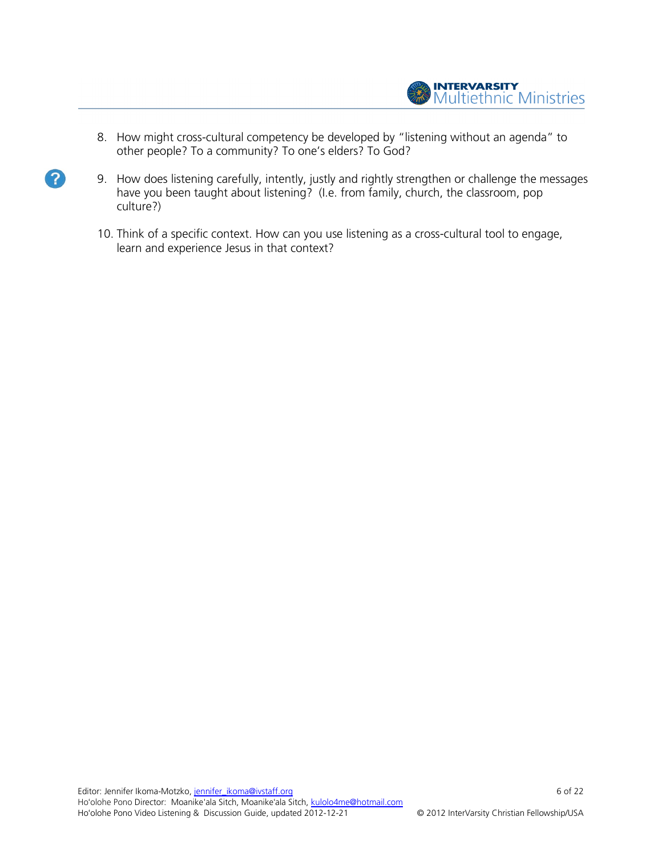

8. How might cross-cultural competency be developed by "listening without an agenda" to other people? To a community? To one's elders? To God?

 $\left| 2 \right\rangle$ 

- 9. How does listening carefully, intently, justly and rightly strengthen or challenge the messages have you been taught about listening? (I.e. from family, church, the classroom, pop culture?)
	- 10. Think of a specific context. How can you use listening as a cross-cultural tool to engage, learn and experience Jesus in that context?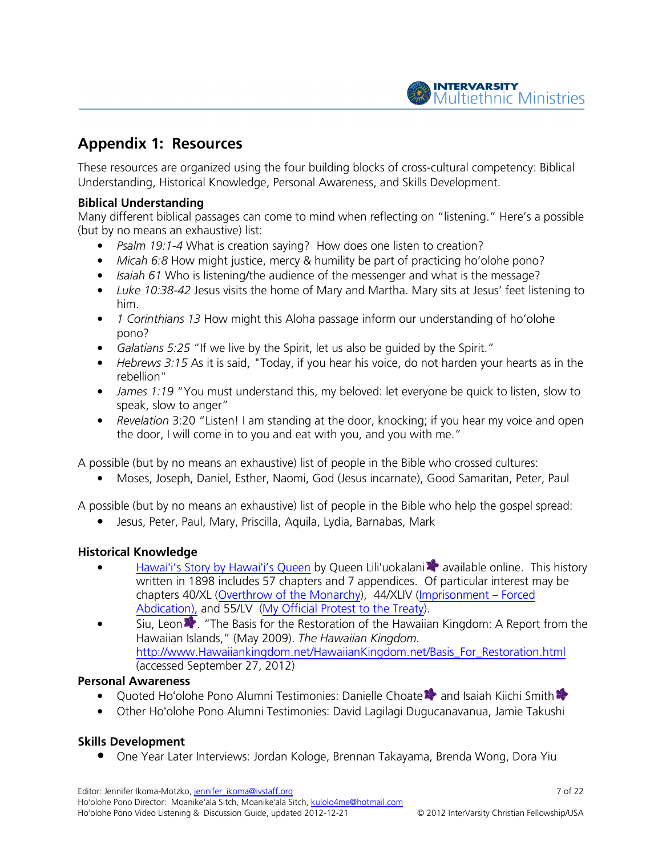

# Appendix 1: Resources

These resources are organized using the four building blocks of cross-cultural competency: Biblical Understanding, Historical Knowledge, Personal Awareness, and Skills Development. These resources are organized using the four building blocks of cross-cultural competency: Biblical<br>Understanding, Historical Knowledge, Personal Awareness, and Skills Development.<br>**Biblical Understanding**<br>Many different b

# Biblical Understanding

(but by no means an exhaustive) list:

- Psalm 19:1-4 What is creation saying? How does one listen to creation?
- Micah 6:8 How might justice, mercy & humility be part of practicing ho'olohe pono?
- Isaiah 61 Who is listening/the audience of the messenger and what is the message?
- Micah 6:8 How might justice, mercy & humility be part of practicing ho'olohe pono?<br>• Isaiah 61 Who is listening/the audience of the messenger and what is the message?<br>• Luke 10:38-42 Jesus visits the home of Mary and Mar him.
- 1 Corinthians 13 How might this Aloha passage inform our understanding of ho'olohe pono?
- Galatians 5:25 "If we live by the Spirit, let us also be quided by the Spirit."
- $\bullet$  Hebrews 3:15 As it is said, "Today, if you hear his voice, do not harden your hearts as in the rebellion" • Galatians 5:25 "If we live by the Spirit, let us also be guided by the Spirit."<br>• Hebrews 3:15 As it is said, "Today, if you hear his voice, do not harden your hearts as in the rebellion"<br>• James 1:19 "You must understan Mary and Martha. Mary sits at Jesus' feet listening to<br>passage inform our understanding of ho'olohe<br>let us also be guided by the Spirit."<br>ou hear his voice, do not harden your hearts as in the<br>my beloved: let everyone be q
- speak, slow to anger"
- Revelation 3:20 "Listen! I am standing at the door, knocking; if you hear my voice and open the door, I will come in to you and eat with you, and you with me." • Revelation 3:20 "Listen! I am standing at the door, knocking; if you hear m<br>the door, I will come in to you and eat with you, and you with me."<br>A possible (but by no means an exhaustive) list of people in the Bible who c

• Moses, Joseph, Daniel, Esther, Naomi, God (Jesus incarnate), Good Samaritan, Peter, Paul

A possible (but by no means an exhaustive) list of people in the Bible who help the gospel spread:

• Jesus, Peter, Paul, Mary, Priscilla, Aquila, Lydia, Barnabas, Mark

# Historical Knowledge

- Hawaiʻi's Story by Hawaiʻi's Queen by Queen Lili'uokalani **\*** available online. This history written in 1898 includes 57 chapters and 7 appendices. Of particular interest may be chapters 40/XL (Overthrow of the Monarchy), 44/XLIV (Imprisonment – Forced Abdication), and 55/LV (My Official Protest to the Treaty).
- Siu, Leon<sup>1</sup>. "The Basis for the Restoration of the Hawaiian Kingdom: A Report from the Hawaiian Islands," (May 2009). The Hawaiian Kingdom. http://www.Hawaiiankingdom.net/HawaiianKingdom.net/Basis\_For\_Restoration.html (accessed September 27, 2012) • Siu, Leon • "The Basis for the Restoration of the Hawaiian Kingdom: A Report from<br>
Hawaiian Islands," (May 2009). *The Hawaiian Kingdom*.<br>
http://www.Hawaiiankingdom.net/HawaiianKingdom.net/Basis\_For\_Restoration.html<br>
(a

### Personal Awareness

- 
- Other Ho'olohe Pono Alumni Testimonies: David Lagilagi Dugucanavanua, Jamie Takushi

# Skills Development

• Intervier Later Interviews: Jordan Kologe, Brennan Takayama, Brenda Wong, Dora Yiu<br>● One Year Later Interviews: Jordan Kologe, Brennan Takayama, Brenda Wong, Dora Yiu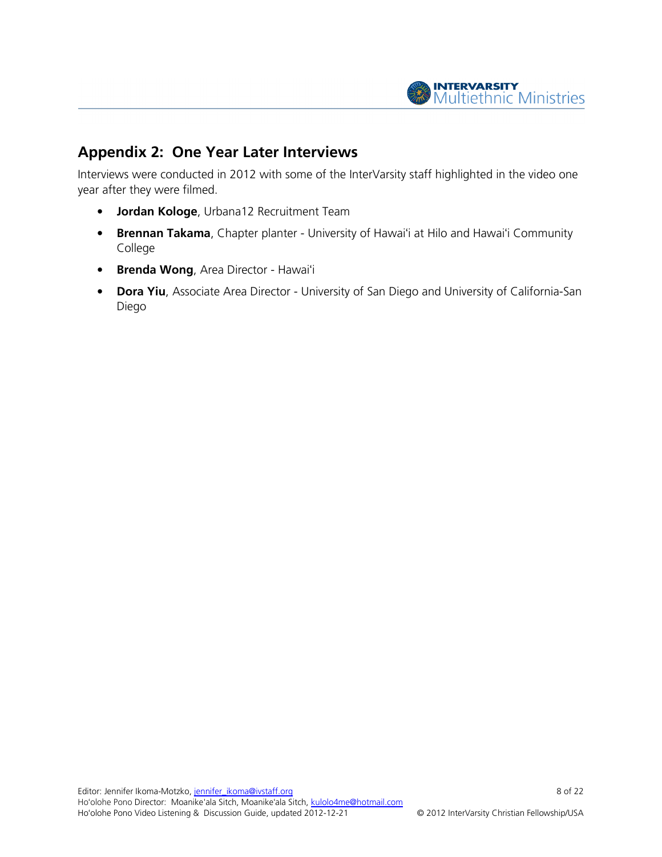

# Appendix 2: One Year Later Interviews

Interviews were conducted in 2012 with some of the InterVarsity staff highlighted in the video one year after they were filmed.

- Jordan Kologe, Urbana12 Recruitment Team
- Brennan Takama, Chapter planter University of Hawai'i at Hilo and Hawai'i Community College
- **Brenda Wong**, Area Director Hawai'i
- Dora Yiu, Associate Area Director University of San Diego and University of California-San Diego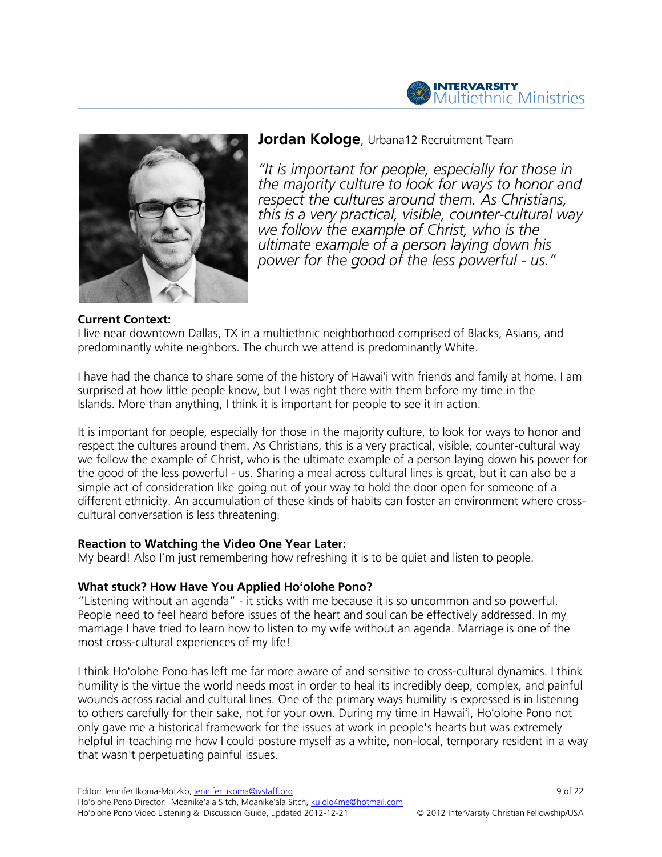



# Jordan Kologe, Urbana12 Recruitment Team

"It is important for people, especially for those in the majority culture to look for ways to honor and respect the cultures around them. As Christians, this is a very practical, visible, counter-cultural way we follow the example of Christ, who is the ultimate example of a person laying down his power for the good of the less powerful - us."

#### Current Context:

I live near downtown Dallas, TX in a multiethnic neighborhood comprised of Blacks, Asians, and predominantly white neighbors. The church we attend is predominantly White.

I have had the chance to share some of the history of Hawaiʻi with friends and family at home. I am surprised at how little people know, but I was right there with them before my time in the Islands. More than anything, I think it is important for people to see it in action.

It is important for people, especially for those in the majority culture, to look for ways to honor and respect the cultures around them. As Christians, this is a very practical, visible, counter-cultural way we follow the example of Christ, who is the ultimate example of a person laying down his power for the good of the less powerful - us. Sharing a meal across cultural lines is great, but it can also be a simple act of consideration like going out of your way to hold the door open for someone of a different ethnicity. An accumulation of these kinds of habits can foster an environment where crosscultural conversation is less threatening.

### Reaction to Watching the Video One Year Later:

My beard! Also I'm just remembering how refreshing it is to be quiet and listen to people.

### What stuck? How Have You Applied Hoʻolohe Pono?

"Listening without an agenda" - it sticks with me because it is so uncommon and so powerful. People need to feel heard before issues of the heart and soul can be effectively addressed. In my marriage I have tried to learn how to listen to my wife without an agenda. Marriage is one of the most cross-cultural experiences of my life!

I think Hoʻolohe Pono has left me far more aware of and sensitive to cross-cultural dynamics. I think humility is the virtue the world needs most in order to heal its incredibly deep, complex, and painful wounds across racial and cultural lines. One of the primary ways humility is expressed is in listening to others carefully for their sake, not for your own. During my time in Hawaiʻi, Hoʻolohe Pono not only gave me a historical framework for the issues at work in people's hearts but was extremely helpful in teaching me how I could posture myself as a white, non-local, temporary resident in a way that wasn't perpetuating painful issues.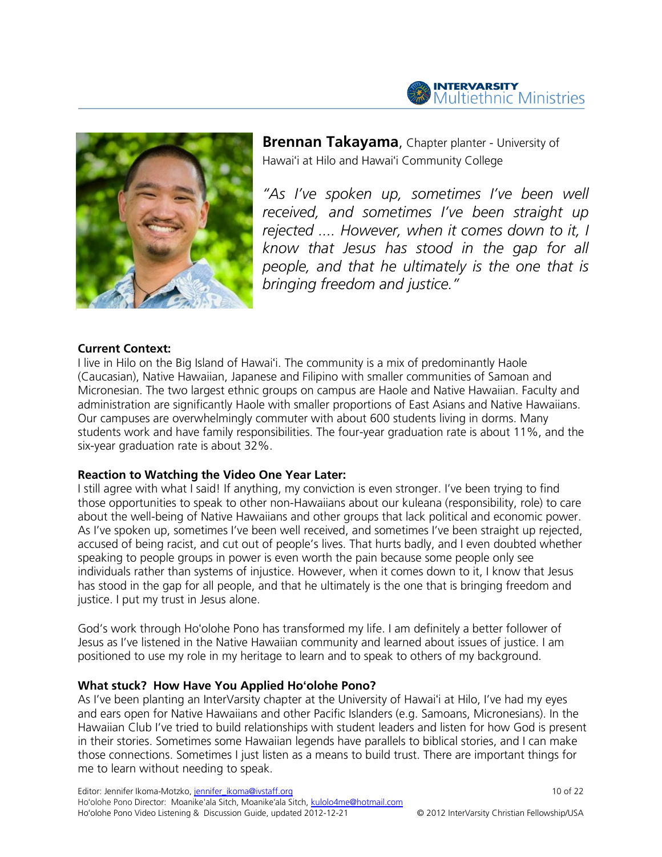



**Brennan Takayama, Chapter planter - University of** Hawaiʻi at Hilo and Hawaiʻi Community College

"As I've spoken up, sometimes I've been well received, and sometimes I've been straight up rejected .... However, when it comes down to it, I know that Jesus has stood in the gap for all people, and that he ultimately is the one that is bringing freedom and justice."

#### Current Context:

I live in Hilo on the Big Island of Hawaiʻi. The community is a mix of predominantly Haole (Caucasian), Native Hawaiian, Japanese and Filipino with smaller communities of Samoan and Micronesian. The two largest ethnic groups on campus are Haole and Native Hawaiian. Faculty and administration are significantly Haole with smaller proportions of East Asians and Native Hawaiians. Our campuses are overwhelmingly commuter with about 600 students living in dorms. Many students work and have family responsibilities. The four-year graduation rate is about 11%, and the six-year graduation rate is about 32%.

#### Reaction to Watching the Video One Year Later:

I still agree with what I said! If anything, my conviction is even stronger. I've been trying to find those opportunities to speak to other non-Hawaiians about our kuleana (responsibility, role) to care about the well-being of Native Hawaiians and other groups that lack political and economic power. As I've spoken up, sometimes I've been well received, and sometimes I've been straight up rejected, accused of being racist, and cut out of people's lives. That hurts badly, and I even doubted whether speaking to people groups in power is even worth the pain because some people only see individuals rather than systems of injustice. However, when it comes down to it, I know that Jesus has stood in the gap for all people, and that he ultimately is the one that is bringing freedom and justice. I put my trust in Jesus alone.

God's work through Hoʻolohe Pono has transformed my life. I am definitely a better follower of Jesus as I've listened in the Native Hawaiian community and learned about issues of justice. I am positioned to use my role in my heritage to learn and to speak to others of my background.

#### What stuck? How Have You Applied Hoʻolohe Pono?

As I've been planting an InterVarsity chapter at the University of Hawaiʻi at Hilo, I've had my eyes and ears open for Native Hawaiians and other Pacific Islanders (e.g. Samoans, Micronesians). In the Hawaiian Club I've tried to build relationships with student leaders and listen for how God is present in their stories. Sometimes some Hawaiian legends have parallels to biblical stories, and I can make those connections. Sometimes I just listen as a means to build trust. There are important things for me to learn without needing to speak.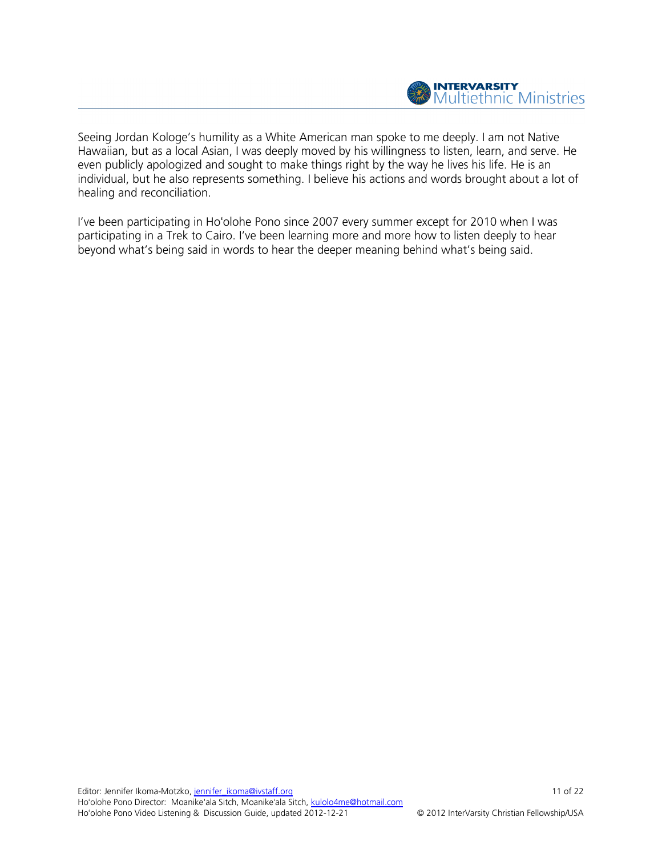

Seeing Jordan Kologe's humility as a White American man spoke to me deeply. I am not Native Hawaiian, but as a local Asian, I was deeply moved by his willingness to listen, learn, and serve. He even publicly apologized and sought to make things right by the way he lives his life. He is an individual, but he also represents something. I believe his actions and words brought about a lot of healing and reconciliation.

I've been participating in Hoʻolohe Pono since 2007 every summer except for 2010 when I was participating in a Trek to Cairo. I've been learning more and more how to listen deeply to hear beyond what's being said in words to hear the deeper meaning behind what's being said.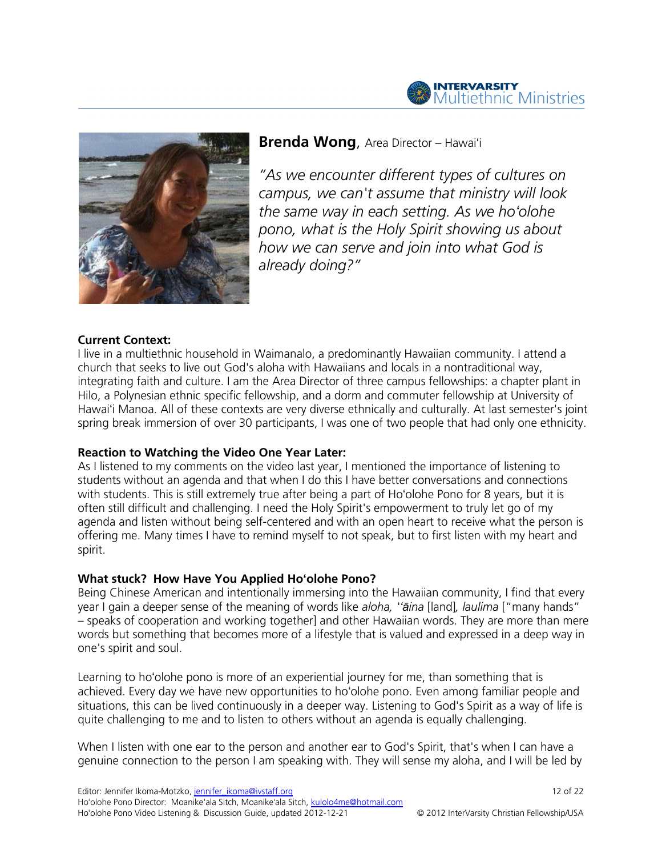



# **Brenda Wong, Area Director – Hawaiʻi**

"As we encounter different types of cultures on campus, we can't assume that ministry will look the same way in each setting. As we hoʻolohe pono, what is the Holy Spirit showing us about how we can serve and join into what God is already doing?"

### Current Context:

I live in a multiethnic household in Waimanalo, a predominantly Hawaiian community. I attend a church that seeks to live out God's aloha with Hawaiians and locals in a nontraditional way, integrating faith and culture. I am the Area Director of three campus fellowships: a chapter plant in Hilo, a Polynesian ethnic specific fellowship, and a dorm and commuter fellowship at University of Hawaiʻi Manoa. All of these contexts are very diverse ethnically and culturally. At last semester's joint spring break immersion of over 30 participants, I was one of two people that had only one ethnicity.

### Reaction to Watching the Video One Year Later:

As I listened to my comments on the video last year, I mentioned the importance of listening to students without an agenda and that when I do this I have better conversations and connections with students. This is still extremely true after being a part of Hoʻolohe Pono for 8 years, but it is often still difficult and challenging. I need the Holy Spirit's empowerment to truly let go of my agenda and listen without being self-centered and with an open heart to receive what the person is offering me. Many times I have to remind myself to not speak, but to first listen with my heart and spirit.

### What stuck? How Have You Applied Hoʻolohe Pono?

Being Chinese American and intentionally immersing into the Hawaiian community, I find that every year I gain a deeper sense of the meaning of words like aloha, "aina [land], laulima ["many hands" – speaks of cooperation and working together] and other Hawaiian words. They are more than mere words but something that becomes more of a lifestyle that is valued and expressed in a deep way in one's spirit and soul.

Learning to hoʻolohe pono is more of an experiential journey for me, than something that is achieved. Every day we have new opportunities to hoʻolohe pono. Even among familiar people and situations, this can be lived continuously in a deeper way. Listening to God's Spirit as a way of life is quite challenging to me and to listen to others without an agenda is equally challenging.

When I listen with one ear to the person and another ear to God's Spirit, that's when I can have a genuine connection to the person I am speaking with. They will sense my aloha, and I will be led by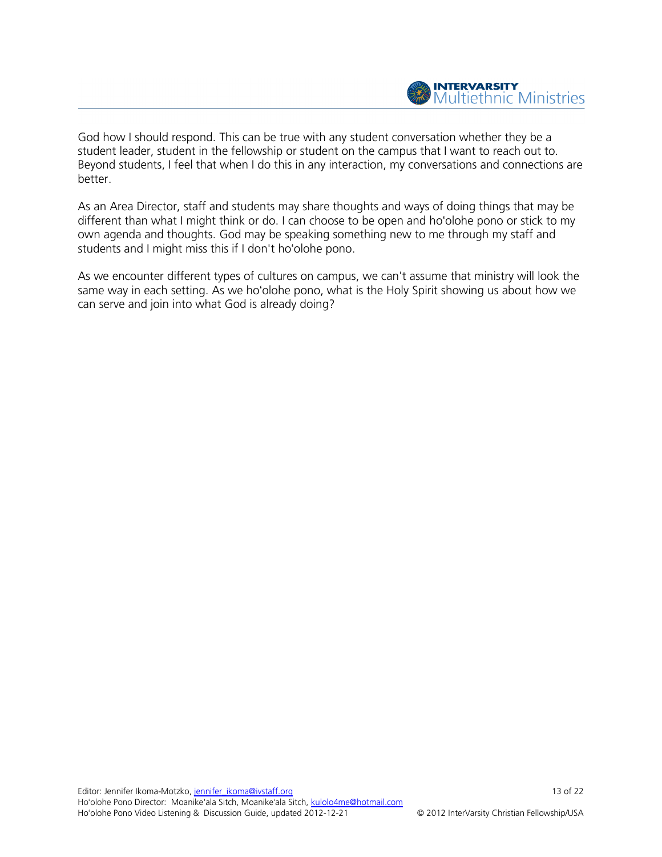

God how I should respond. This can be true with any student conversation whether they be a student leader, student in the fellowship or student on the campus that I want to reach out to. Beyond students, I feel that when I do this in any interaction, my conversations and connections are better.

As an Area Director, staff and students may share thoughts and ways of doing things that may be different than what I might think or do. I can choose to be open and hoʻolohe pono or stick to my own agenda and thoughts. God may be speaking something new to me through my staff and students and I might miss this if I don't hoʻolohe pono.

As we encounter different types of cultures on campus, we can't assume that ministry will look the same way in each setting. As we hoʻolohe pono, what is the Holy Spirit showing us about how we can serve and join into what God is already doing?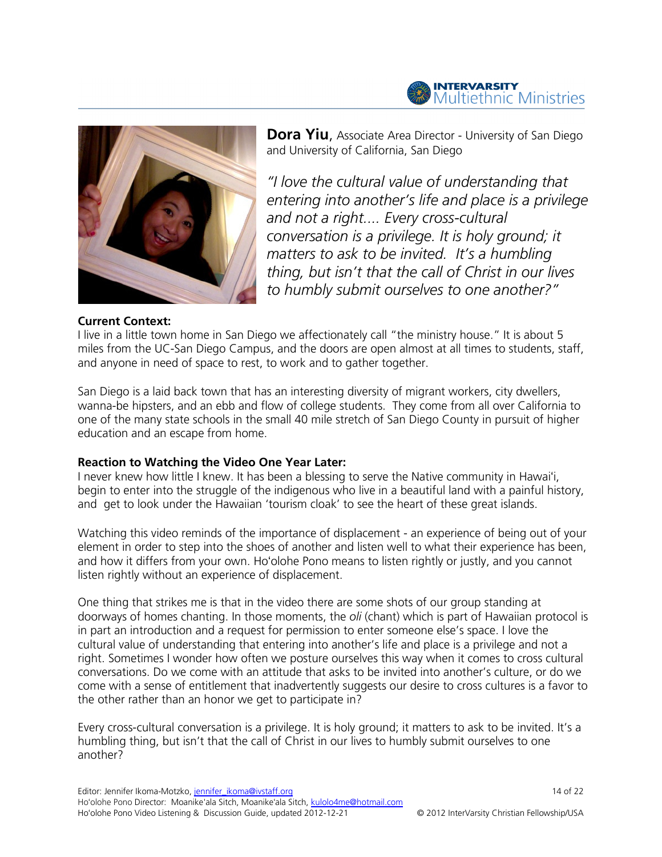



**Dora Yiu,** Associate Area Director - University of San Diego and University of California, San Diego

"I love the cultural value of understanding that entering into another's life and place is a privilege and not a right.... Every cross-cultural conversation is a privilege. It is holy ground; it matters to ask to be invited. It's a humbling thing, but isn't that the call of Christ in our lives to humbly submit ourselves to one another?"

#### Current Context:

I live in a little town home in San Diego we affectionately call "the ministry house." It is about 5 miles from the UC-San Diego Campus, and the doors are open almost at all times to students, staff, and anyone in need of space to rest, to work and to gather together.

San Diego is a laid back town that has an interesting diversity of migrant workers, city dwellers, wanna-be hipsters, and an ebb and flow of college students. They come from all over California to one of the many state schools in the small 40 mile stretch of San Diego County in pursuit of higher education and an escape from home.

### Reaction to Watching the Video One Year Later:

I never knew how little I knew. It has been a blessing to serve the Native community in Hawaiʻi, begin to enter into the struggle of the indigenous who live in a beautiful land with a painful history, and get to look under the Hawaiian 'tourism cloak' to see the heart of these great islands.

Watching this video reminds of the importance of displacement - an experience of being out of your element in order to step into the shoes of another and listen well to what their experience has been, and how it differs from your own. Hoʻolohe Pono means to listen rightly or justly, and you cannot listen rightly without an experience of displacement.

One thing that strikes me is that in the video there are some shots of our group standing at doorways of homes chanting. In those moments, the oli (chant) which is part of Hawaiian protocol is in part an introduction and a request for permission to enter someone else's space. I love the cultural value of understanding that entering into another's life and place is a privilege and not a right. Sometimes I wonder how often we posture ourselves this way when it comes to cross cultural conversations. Do we come with an attitude that asks to be invited into another's culture, or do we come with a sense of entitlement that inadvertently suggests our desire to cross cultures is a favor to the other rather than an honor we get to participate in?

Every cross-cultural conversation is a privilege. It is holy ground; it matters to ask to be invited. It's a humbling thing, but isn't that the call of Christ in our lives to humbly submit ourselves to one another?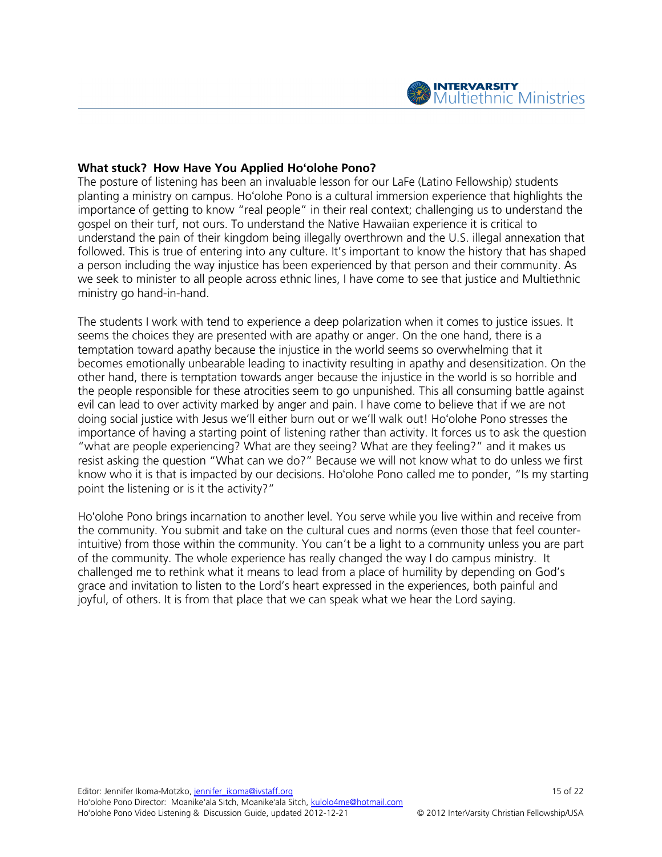

#### What stuck? How Have You Applied Hoʻolohe Pono?

The posture of listening has been an invaluable lesson for our LaFe (Latino Fellowship) students planting a ministry on campus. Hoʻolohe Pono is a cultural immersion experience that highlights the importance of getting to know "real people" in their real context; challenging us to understand the gospel on their turf, not ours. To understand the Native Hawaiian experience it is critical to understand the pain of their kingdom being illegally overthrown and the U.S. illegal annexation that followed. This is true of entering into any culture. It's important to know the history that has shaped a person including the way injustice has been experienced by that person and their community. As we seek to minister to all people across ethnic lines, I have come to see that justice and Multiethnic ministry go hand-in-hand.

The students I work with tend to experience a deep polarization when it comes to justice issues. It seems the choices they are presented with are apathy or anger. On the one hand, there is a temptation toward apathy because the injustice in the world seems so overwhelming that it becomes emotionally unbearable leading to inactivity resulting in apathy and desensitization. On the other hand, there is temptation towards anger because the injustice in the world is so horrible and the people responsible for these atrocities seem to go unpunished. This all consuming battle against evil can lead to over activity marked by anger and pain. I have come to believe that if we are not doing social justice with Jesus we'll either burn out or we'll walk out! Hoʻolohe Pono stresses the importance of having a starting point of listening rather than activity. It forces us to ask the question "what are people experiencing? What are they seeing? What are they feeling?" and it makes us resist asking the question "What can we do?" Because we will not know what to do unless we first know who it is that is impacted by our decisions. Hoʻolohe Pono called me to ponder, "Is my starting point the listening or is it the activity?"

Hoʻolohe Pono brings incarnation to another level. You serve while you live within and receive from the community. You submit and take on the cultural cues and norms (even those that feel counterintuitive) from those within the community. You can't be a light to a community unless you are part of the community. The whole experience has really changed the way I do campus ministry. It challenged me to rethink what it means to lead from a place of humility by depending on God's grace and invitation to listen to the Lord's heart expressed in the experiences, both painful and joyful, of others. It is from that place that we can speak what we hear the Lord saying.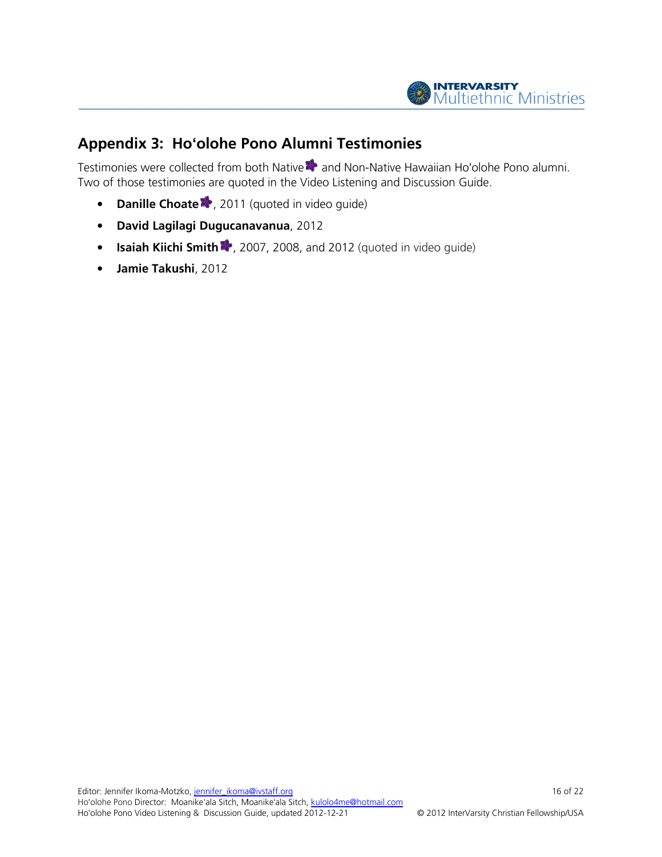

# Appendix 3: Hoʻolohe Pono Alumni Testimonies

Testimonies were collected from both Native **\*\*** and Non-Native Hawaiian Ho'olohe Pono alumni. Two of those testimonies are quoted in the Video Listening and Discussion Guide.

- Danille Choate<sup>1</sup>, 2011 (quoted in video guide)
- David Lagilagi Dugucanavanua , 2012
- Isaiah Kiichi Smith ?, 2007, 2008, and 2012 (quoted in video guide)
- Jamie Takushi, 2012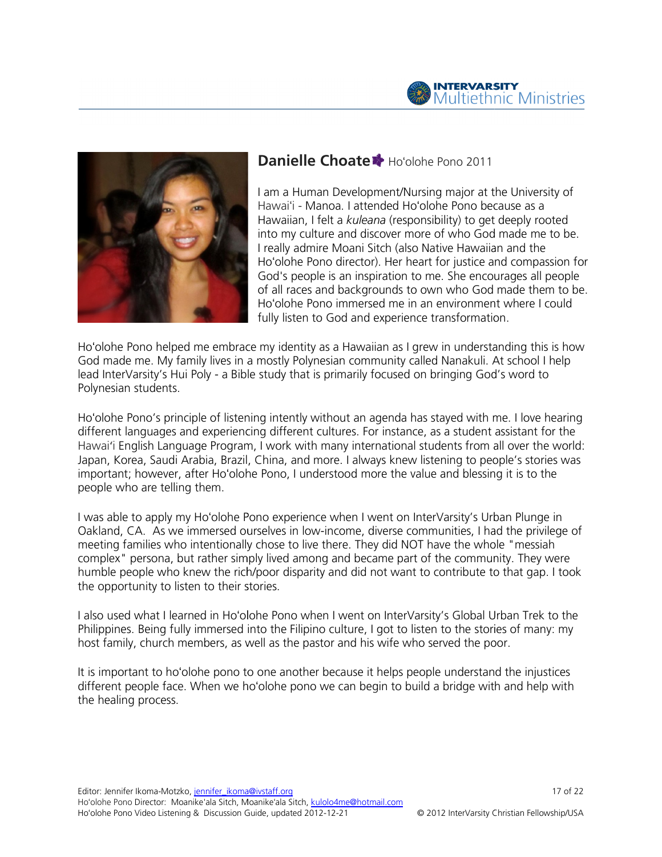



# Danielle Choate \* Ho'olohe Pono 2011

I am a Human Development/Nursing major at the University of Hawaiʻi - Manoa. I attended Hoʻolohe Pono because as a Hawaiian, I felt a kuleana (responsibility) to get deeply rooted into my culture and discover more of who God made me to be. I really admire Moani Sitch (also Native Hawaiian Hoʻolohe Pono director). Her heart for justice and compassion for God's people is an inspiration to me. She encourages all people of all races and backgrounds to own who God made them to be. Hoʻolohe Pono immersed me in an environment where I could fully listen to God and experience transformation. he Pono because as a<br>bility) to get deeply rooted<br>of who God made me to be.<br>tive Hawaiian and the

Ho'olohe Pono helped me embrace my identity as a Hawaiian as I grew in understanding this is how God made me. My family lives in a mostly Polynesian community called Nanakuli. At school I help lead InterVarsity's Hui Poly - a Bible study that is primarily focused on bringing God's word to Polynesian students. God made me. My family lives in a mostly Polynesian community called Nanakuli. At school I help<br>lead InterVarsity's Hui Poly - a Bible study that is primarily focused on bringing God's word to<br>Polynesian students.<br>Hoʻolohe

different languages and experiencing different cultures. For instance, as a student assistant for the Hawaiʻi English Language Program, I work with many international students from all over the world: Japan, Korea, Saudi Arabia, Brazil, China, and more. I always knew listening important; however, after Ho'olohe Pono, I understood more the value and blessing it is to the people who are telling them. มages and experiencing different cultures. For instance, as a student assistant for the<br>า Language Program, I work with many international students from all over the world:<br>Saudi Arabia, Brazil, China, and more. I always Ho'olohe Pono director). Her heart for justice and compassion for the force that in inspiration to me. She encourages all people is an inspiration to me. She encourages all people Hotolohe Pono immersed me in an environmen

I was able to apply my Hoʻolohe Pono experience when I went on InterVarsity's Urban Plunge in I was able to apply my Ho'olohe Pono experience when I went on InterVarsity's Urban Plunge in<br>Oakland, CA. As we immersed ourselves in low-income, diverse communities, I had the privilege of meeting families who intentionally chose to live there. They did NOT have the whole "messiah complex" persona, but rather simply lived among and became part of the community. They were meeting families who intentionally chose to live there. They did NOT have the whole "messiah<br>complex" persona, but rather simply lived among and became part of the community. They were<br>humble people who knew the rich/poor the opportunity to listen to their stories. the opportunity to listen

I also used what I learned in Ho'olohe Pono when I went on InterVarsity's Global Urban Trek to the Philippines. Being fully immersed into the Filipino culture, I got to listen to the stor to the stories of many: my host family, church members, as well as the pastor and his wife who served the poor.

host family, church members, as well as the pastor and his wife who served the poor.<br>It is important to hoʻolohe pono to one another because it helps people understand the different people face. When we ho'olohe pono we can begin to build a bridge with and help with the healing process.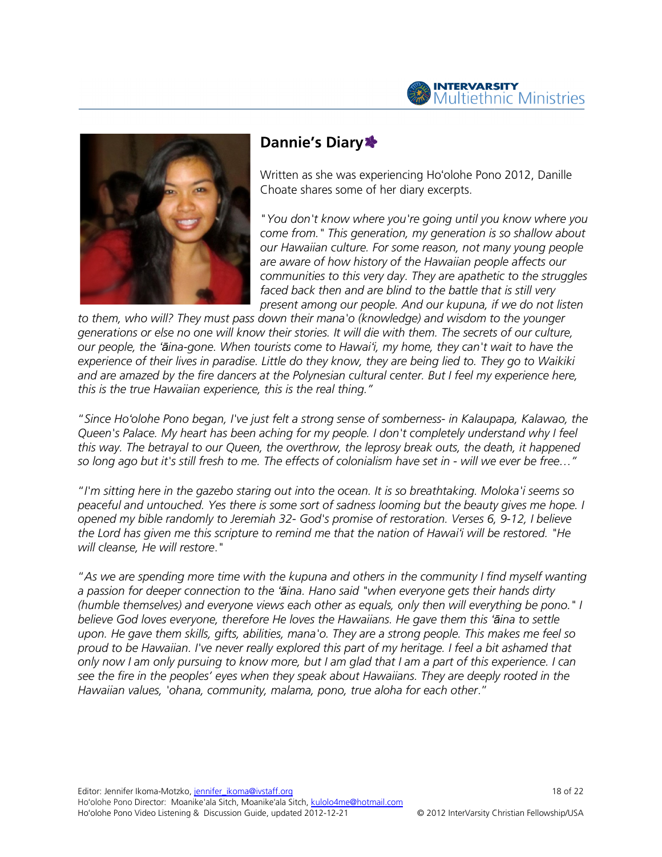



# Dannie's Diary \*

Written as she was experiencing Hoʻolohe Pono 2012, Danille 2012, Choate shares some of her diary excerpts.

"You don't know where you're going until you know where you come from." This generation, my generation is so shallow about our Hawaiian culture. For some reason, not many young people are aware of how history of the Hawaiian people affects our communities to this very day. They are apathetic to the struggles faced back then and are blind to the battle that is still very present among our people. And our kupuna, if we do not listen from." This generation, my generation is so shallow ab<br>awaiian culture. For some reason, not many young peo<br>vare of how history of the Hawaiian people affects our<br>unities to this very day. They are apathetic to the strug<br>b

to them, who will? They must pass down their mana'o (knowledge) and wisdom to the younger to them, who will? They must pass down their mana'o (knowledge) and wisdom to the younger<br>generations or else no one will know their stories. It will die with them. The secrets of our culture, our people, the 'aina-gone. When tourists come to Hawai'i, my home, they can't wait to have the experience of their lives in paradise. Little do they know, they are being lied to. They go to Waikiki and are amazed by the fire dancers at the Polynesian cultural center. But I feel my experience here, this is the true Hawaiian experience, this is the real thing." and are amazed by the fire dancers at the Polynesian cultural center. But I feel my experience here,<br>this is the true Hawaiian experience, this is the real thing."<br>"Since Hoʻolohe Pono began, I've just felt a strong sense

Queen's Palace. My heart has been aching for my people. I don't completely understand why I feel this way. The betrayal to our Queen, the overthrow, the leprosy break outs, the death, it happened so long ago but it's still fresh to me. The effects of colonialism have set in - will we ever be free..." een's Palace. My heart has been aching for my people. I don't completely understand why I feeı<br>s way. The betrayal to our Queen, the overthrow, the leprosy break outs, the death, it happened<br>long ago but it's still fresh t o Hawai'i, my home, they can't wait to have the<br>know, they are being lied to. They go to Waikiki<br>ian cultural center. But I feel my experience here,<br>I thing."<br>g sense of somberness- in Kalaupapa, Kalawao, t<br>people. I don't

"I'm sitting here in the gazebo staring out into the ocean. It is so breathtaking. Moloka'i seems so "I'm sitting here in the gazebo staring out into the ocean. It is so breathtaking. Moloka'i seems so<br>peaceful and untouched. Yes there is some sort of sadness looming but the beauty gives me hope. I opened my bible randomly to Jeremiah 32- God's promise of restoration. Verses 6, 9 the Lord has given me this scripture to remind me that the nation of Hawai'i will be restored. "He will cleanse, He will restore."

"As we are spending more time with the kupuna and others in the community I find myself wanting "As we are spending more time with the kupuna and others in the community I find myself wa<br>a passion for deeper connection to the '**ā**ina. Hano said "when everyone gets their hands dirty (humble themselves) and everyone views each other as equals, only then will everything be pono." I (humble themselves) and everyone views each other as equals, only then will everything be pone<br>believe God loves everyone, therefore He loves the Hawaiians. He gave them this '**ā**ina to settle upon. He gave them skills, gifts, abilities, mana'o. They are a strong people. This makes me feel so proud to be Hawaiian. I've never really explored this part of my heritage. I feel a bit ashamed that only now I am only pursuing to know more, but I am glad that I am a part of this experience. I can only now I am only pursuing to know more, but I am glad that I am a part of this experience. I can<br>see the fire in the peoples' eyes when they speak about Hawaiians. They are deeply rooted in the Hawaiian values, 'ohana, community, malama, pono, true aloha for each other." eritage. I feel a bit ashamed<br>am a part of this experience.<br>1s. They are deeply rooted in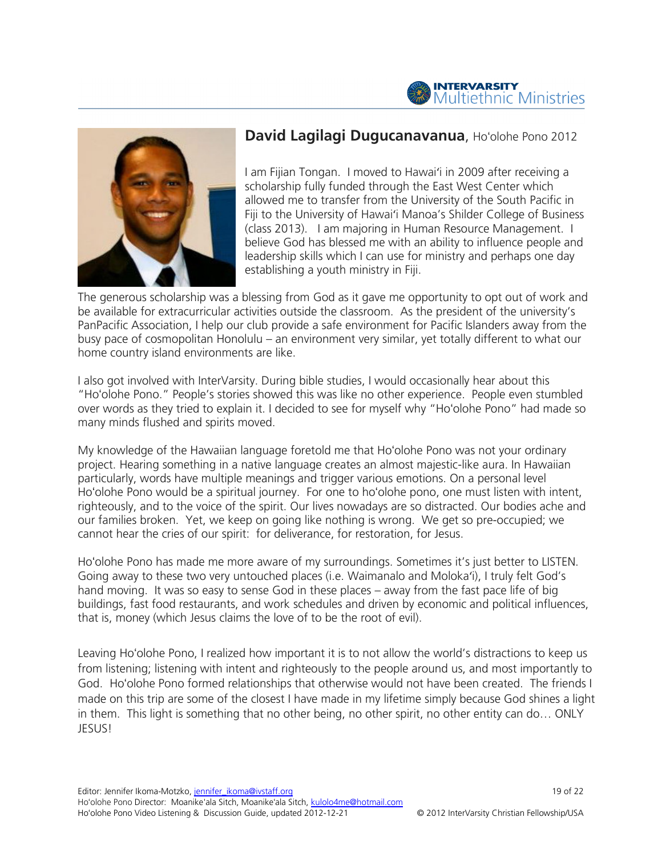



# David Lagilagi Dugucanavanua, Hoʻolohe Pono 2012

I am Fijian Tongan. I moved to Hawaiʻi in 2009 after receiving a scholarship fully funded through the East West Center which allowed me to transfer from the University of the South Pacific in Fiji to the University of Hawaiʻi Manoa's Shilder College of Business (class 2013). I am majoring in Human Resource Management. I believe God has blessed me with an ability to influence people and leadership skills which I can use for ministry and perhaps one day establishing a youth ministry in Fiji.

The generous scholarship was a blessing from God as it gave me opportunity to opt out of work and be available for extracurricular activities outside the classroom. As the president of the university's PanPacific Association, I help our club provide a safe environment for Pacific Islanders away from the busy pace of cosmopolitan Honolulu – an environment very similar, yet totally different to what our home country island environments are like.

I also got involved with InterVarsity. During bible studies, I would occasionally hear about this "Hoʻolohe Pono." People's stories showed this was like no other experience. People even stumbled over words as they tried to explain it. I decided to see for myself why "Hoʻolohe Pono" had made so many minds flushed and spirits moved.

My knowledge of the Hawaiian language foretold me that Hoʻolohe Pono was not your ordinary project. Hearing something in a native language creates an almost majestic-like aura. In Hawaiian particularly, words have multiple meanings and trigger various emotions. On a personal level Hoʻolohe Pono would be a spiritual journey. For one to hoʻolohe pono, one must listen with intent, righteously, and to the voice of the spirit. Our lives nowadays are so distracted. Our bodies ache and our families broken. Yet, we keep on going like nothing is wrong. We get so pre-occupied; we cannot hear the cries of our spirit: for deliverance, for restoration, for Jesus.

Hoʻolohe Pono has made me more aware of my surroundings. Sometimes it's just better to LISTEN. Going away to these two very untouched places (i.e. Waimanalo and Molokaʻi), I truly felt God's hand moving. It was so easy to sense God in these places – away from the fast pace life of big buildings, fast food restaurants, and work schedules and driven by economic and political influences, that is, money (which Jesus claims the love of to be the root of evil).

Leaving Hoʻolohe Pono, I realized how important it is to not allow the world's distractions to keep us from listening; listening with intent and righteously to the people around us, and most importantly to God. Hoʻolohe Pono formed relationships that otherwise would not have been created. The friends I made on this trip are some of the closest I have made in my lifetime simply because God shines a light in them. This light is something that no other being, no other spirit, no other entity can do… ONLY JESUS!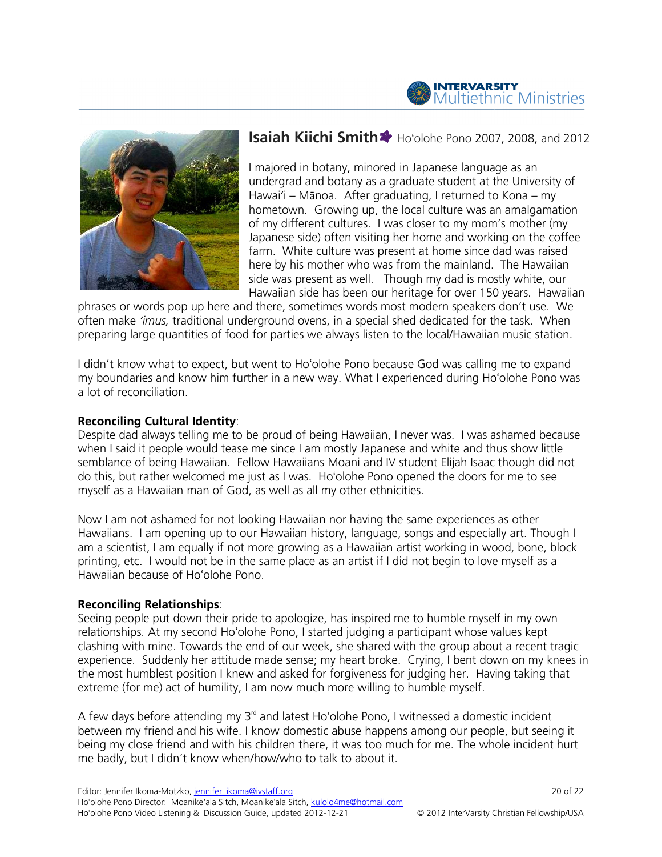



# **Isaiah Kiichi Smith \*** Ho'olohe Pono 2007, 2008, and 2012

I majored in botany, minored in Japanese language as an undergrad and botany as a graduate student at the University of Hawai'i – Mānoa. After graduating, I returned to Kona – my hometown. Growing up, the local culture was an amalgamation of my different cultures. I was closer to my mom's mother (my Japanese side) often visiting her home and working on the coffee farm. White culture was present at home since dad was raised here by his mother who was from the mainland. The Hawaiian side was present as well. Though my dad is mostly white, our side was present as well. Though my dad is mostly white, our<br>Hawaiian side has been our heritage for over 150 years. Hawaiian iny, minored in Japanese language as an<br>otany as a graduate student at the University<br>. After graduating, I returned to Kona – my lown. Growing up, the local culture was an amalgamation<br>different cultures. I was closer to my mom's mother (my<br>sse side) often visiting her home and working on the coffe<br>White culture was present at home since dad was rai

phrases or words pop up here and there, sometimes words most modern speakers don't use. We often make 'imus, traditional underground ovens, in a special shed dedicated for the task. When preparing large quantities of food for parties we always listen to the local/ Hawaiian music station. ls pop up here and there, sometimes words most modern speakers don't u:<br>*is,* traditional underground ovens, in a special shed dedicated for the task.<br>quantities of food for parties we always listen to the local/Hawaiian m

I didn't know what to expect, but went to Ho'olohe Pono because God was calling me to expand I didn't know what to expect, but went to Hoʻolohe Pono because God was calling me to expand<br>my boundaries and know him further in a new way. What I experienced during Hoʻolohe Pono was a lot of reconciliation.

# Reconciling Cultural Identity:

Despite dad always telling me to be proud of being Hawaiian, I never was. I was ashamed because when I said it people would tease me since I am mostly Japanese and white and thus show little when I said it people would tease me since I am mostly Japanese and white and thus show little<br>semblance of being Hawaiian. Fellow Hawaiians Moani and IV student Elijah Isaac though did not Despite dad always telling me to be proud of being Hawaiian, I never was. I was ashamed because when I said it people would tease me since I am mostly Japanese and white and thus show little semblance of being Hawaiian. Fe myself as a Hawaiian man of God, as well as all my other ethnicities.

Now I am not ashamed for not looking Hawaiian nor having the same experiences as other Now I am not ashamed for not looking Hawaiian nor having the same experiences as other<br>Hawaiians. I am opening up to our Hawaiian history, language, songs and especially art. Though I am a scientist, I am equally if not more growing as a Hawaiian artist working in wood, bone, block printing, etc. I would not be in the same place as an artist if I did not begin to love myself as a Hawaiian because of Hoʻolohe Pono.

### Reconciling Relationships:

Seeing people put down their pride to apologize, has inspired me to humble myself in my own relationships. At my second Ho'olohe Pono, I started judging a participant whose values kept clashing with mine. Towards the end of our week, she shared with the group about a recent tragic experience. Suddenly her attitude made sense; my heart broke. Crying, I bent down on my knees in the most humblest position I knew and asked for forgiveness for judging her. Having taking that extreme (for me) act of humility, I am now much more willing to humble myself. the most humblest position I knew and asked for forgiveness for judging her. Having taking tl<br>extreme (for me) act of humility, I am now much more willing to humble myself.<br>A few days before attending my 3<sup>rd</sup> and latest n the same place as an artist if I did not begin to love myself as<br>Pono.<br>pride to apologize, has inspired me to humble myself in my ow<br>o'olohe Pono, I started judging a participant whose values kept I did not begin to love myself as a<br>I did not begin to love myself as a<br>d me to humble myself in my owr<br>a participant whose values kept<br>J with the group about a recent t<br>ke. Crying, I bent down on my ki<br>for judging her. Ha

between my friend and his wife. I know domestic abuse happens among our people, but seeing it being my close friend and with his children there, it was too much for me. The whole incident hurt me badly, but I didn't know when/how/who to talk to about it. en my friend and his wife. I know domestic abuse happens<br>my close friend and with his children there, it was too much<br>dly, but I didn't know when/how/who to talk to about it.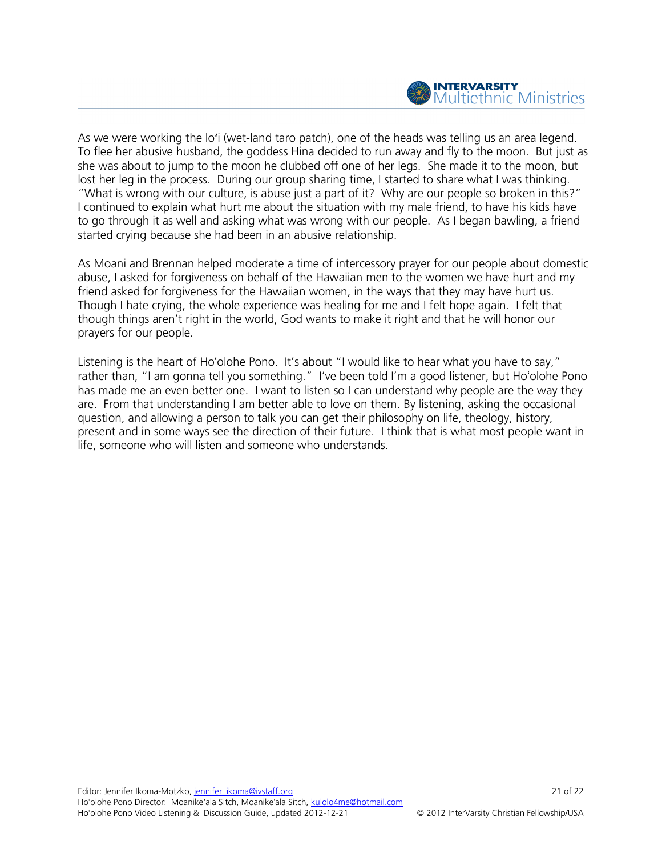

As we were working the loʻi (wet-land taro patch), one of the heads was telling us an area legend. To flee her abusive husband, the goddess Hina decided to run away and fly to the moon. But just as she was about to jump to the moon he clubbed off one of her legs. She made it to the moon, but lost her leg in the process. During our group sharing time, I started to share what I was thinking. "What is wrong with our culture, is abuse just a part of it? Why are our people so broken in this?" I continued to explain what hurt me about the situation with my male friend, to have his kids have to go through it as well and asking what was wrong with our people. As I began bawling, a friend started crying because she had been in an abusive relationship.

As Moani and Brennan helped moderate a time of intercessory prayer for our people about domestic abuse, I asked for forgiveness on behalf of the Hawaiian men to the women we have hurt and my friend asked for forgiveness for the Hawaiian women, in the ways that they may have hurt us. Though I hate crying, the whole experience was healing for me and I felt hope again. I felt that though things aren't right in the world, God wants to make it right and that he will honor our prayers for our people.

Listening is the heart of Ho'olohe Pono. It's about "I would like to hear what you have to say," rather than, "I am gonna tell you something." I've been told I'm a good listener, but Hoʻolohe Pono has made me an even better one. I want to listen so I can understand why people are the way they are. From that understanding I am better able to love on them. By listening, asking the occasional question, and allowing a person to talk you can get their philosophy on life, theology, history, present and in some ways see the direction of their future. I think that is what most people want in life, someone who will listen and someone who understands.